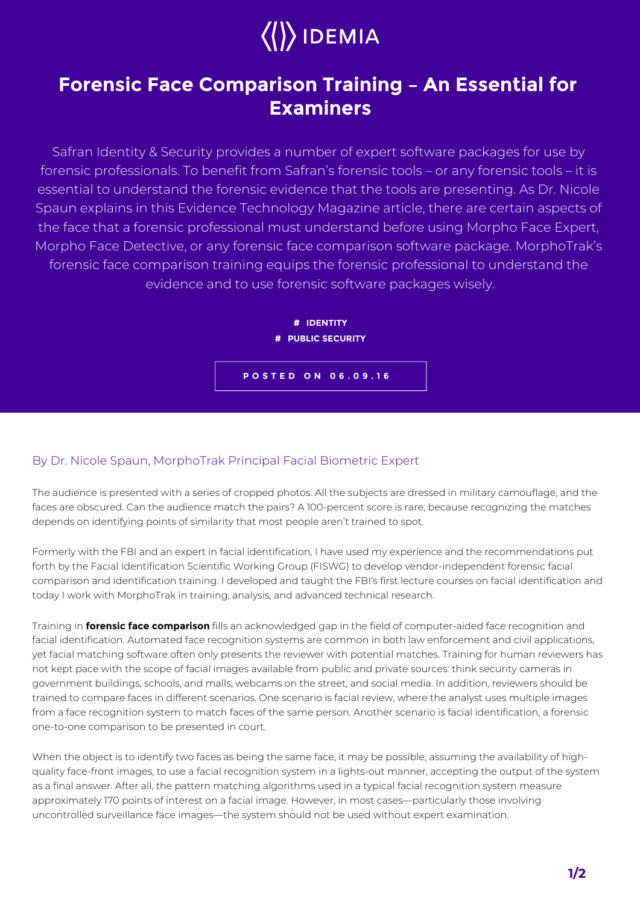

## **Forensic Face Comparison Training – An Essential for Examiners**

Safran Identity & Security provides a number of expert software packages for use by forensic professionals. To benefit from Safran's forensic tools – or any forensic tools – it is essential to understand the forensic evidence that the tools are presenting. As Dr. Nicole Spaun explains in this Evidence Technology Magazine article, there are certain aspects of the face that a forensic professional must understand before using Morpho Face Expert, Morpho Face Detective, or any forensic face comparison software package. MorphoTrak's forensic face comparison training equips the forensic professional to understand the evidence and to use forensic software packages wisely.



## By Dr. Nicole Spaun, MorphoTrak Principal Facial Biometric Expert

The audience is presented with a series of cropped photos. All the subjects are dressed in military camouflage, and the faces are obscured. Can the audience match the pairs? A 100-percent score is rare, because recognizing the matches depends on identifying points of similarity that most people aren't trained to spot.

Formerly with the FBI and an expert in facial identification, I have used my experience and the recommendations put forth by the Facial Identification Scientific Working Group (FISWG) to develop vendor-independent forensic facial comparison and identification training. I developed and taught the FBI's first lecture courses on facial identification and today I work with MorphoTrak in training, analysis, and advanced technical research.

Training in **forensic face comparison** fills an acknowledged gap in the field of computer-aided face recognition and facial identification. Automated face recognition systems are common in both law enforcement and civil applications, yet facial matching software often only presents the reviewer with potential matches. Training for human reviewers has not kept pace with the scope of facial images available from public and private sources: think security cameras in government buildings, schools, and malls, webcams on the street, and social media. In addition, reviewers should be trained to compare faces in different scenarios. One scenario is facial review, where the analyst uses multiple images from a face recognition system to match faces of the same person. Another scenario is facial identification, a forensic one-to-one comparison to be presented in court.

When the object is to identify two faces as being the same face, it may be possible, assuming the availability of highquality face-front images, to use a facial recognition system in a lights-out manner, accepting the output of the system as a final answer. After all, the pattern matching algorithms used in a typical facial recognition system measure approximately 170 points of interest on a facial image. However, in most cases—particularly those involving uncontrolled surveillance face images—the system should not be used without expert examination.

**1/2**